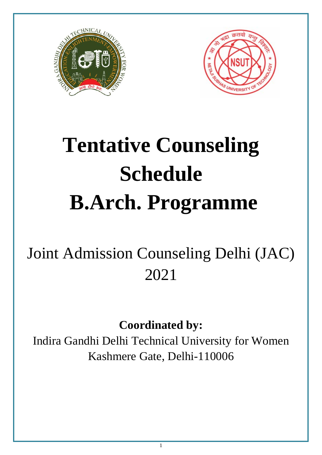



# **Tentative Counseling Schedule B.Arch. Programme**

# Joint Admission Counseling Delhi (JAC) 2021

**Coordinated by:**

Indira Gandhi Delhi Technical University for Women Kashmere Gate, Delhi-110006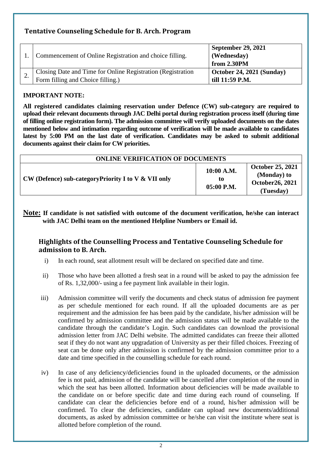## **Tentative Counseling Schedule for B. Arch. Program**

|    | Commencement of Online Registration and choice filling.                                          | <b>September 29, 2021</b><br>(Wednesday)<br>from 2.30PM |
|----|--------------------------------------------------------------------------------------------------|---------------------------------------------------------|
| ٠. | Closing Date and Time for Online Registration (Registration<br>Form filling and Choice filling.) | $\vert$ October 24, 2021 (Sunday)<br>till 11:59 P.M.    |

#### **IMPORTANT NOTE:**

**All registered candidates claiming reservation under Defence (CW) sub-category are required to upload their relevant documents through JAC Delhi portal during registration process itself (during time of filling online registration form). The admission committee will verify uploaded documents on the dates mentioned below and intimation regarding outcome of verification will be made available to candidates latest by 5:00 PM on the last date of verification. Candidates may be asked to submit additional documents against their claim for CW priorities.**

| <b>ONLINE VERIFICATION OF DOCUMENTS</b>                      |                                |                                                                         |
|--------------------------------------------------------------|--------------------------------|-------------------------------------------------------------------------|
| $\vert$ CW (Defence) sub-category Priority I to V & VII only | 10:00 A.M.<br>to<br>05:00 P.M. | <b>October 25, 2021</b><br>(Monday) to<br>October 26, 2021<br>(Tuesday) |

**Note: If candidate is not satisfied with outcome of the document verification, he/she can interact with JAC Delhi team on the mentioned Helpline Numbers or Email id.** 

#### **Highlights of the Counselling Process and Tentative Counseling Schedule for admission to B. Arch.**

- i) In each round, seat allotment result will be declared on specified date and time.
- ii) Those who have been allotted a fresh seat in a round will be asked to pay the admission fee of Rs. 1,32,000/- using a fee payment link available in their login.
- iii) Admission committee will verify the documents and check status of admission fee payment as per schedule mentioned for each round. If all the uploaded documents are as per requirement and the admission fee has been paid by the candidate, his/her admission will be confirmed by admission committee and the admission status will be made available to the candidate through the candidate's Login. Such candidates can download the provisional admission letter from JAC Delhi website. The admitted candidates can freeze their allotted seat if they do not want any upgradation of University as per their filled choices. Freezing of seat can be done only after admission is confirmed by the admission committee prior to a date and time specified in the counselling schedule for each round.
- iv) In case of any deficiency/deficiencies found in the uploaded documents, or the admission fee is not paid, admission of the candidate will be cancelled after completion of the round in which the seat has been allotted. Information about deficiencies will be made available to the candidate on or before specific date and time during each round of counseling. If candidate can clear the deficiencies before end of a round, his/her admission will be confirmed. To clear the deficiencies, candidate can upload new documents/additional documents, as asked by admission committee or he/she can visit the institute where seat is allotted before completion of the round.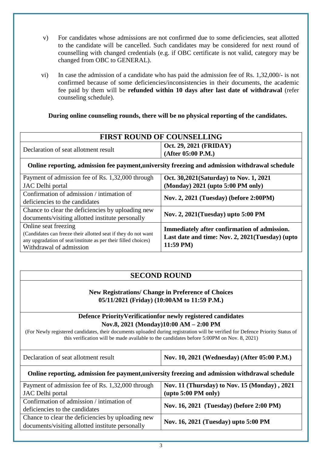- v) For candidates whose admissions are not confirmed due to some deficiencies, seat allotted to the candidate will be cancelled. Such candidates may be considered for next round of counselling with changed credentials (e.g. if OBC certificate is not valid, category may be changed from OBC to GENERAL).
- vi) In case the admission of a candidate who has paid the admission fee of Rs. 1,32,000/- is not confirmed because of some deficiencies/inconsistencies in their documents, the academic fee paid by them will be **refunded within 10 days after last date of withdrawal** (refer counseling schedule).

#### **During online counseling rounds, there will be no physical reporting of the candidates.**

| <b>FIRST ROUND OF COUNSELLING</b>      |                                                              |  |
|----------------------------------------|--------------------------------------------------------------|--|
| l Declaration of seat allotment result | $\vert$ Oct. 29, 2021 (FRIDAY)<br>$\vert$ (After 05:00 P.M.) |  |
|                                        |                                                              |  |

#### **Online reporting, admission fee payment,university freezing and admission withdrawal schedule**

| Payment of admission fee of Rs. 1,32,000 through               | Oct. 30,2021(Saturday) to Nov. 1, 2021          |  |
|----------------------------------------------------------------|-------------------------------------------------|--|
| JAC Delhi portal                                               | (Monday) 2021 (upto 5:00 PM only)               |  |
| Confirmation of admission / intimation of                      | Nov. 2, 2021 (Tuesday) (before 2:00PM)          |  |
| deficiencies to the candidates                                 |                                                 |  |
| Chance to clear the deficiencies by uploading new              |                                                 |  |
| documents/visiting allotted institute personally               | Nov. 2, 2021(Tuesday) upto 5:00 PM              |  |
| Online seat freezing                                           | Immediately after confirmation of admission.    |  |
| (Candidates can freeze their allotted seat if they do not want | Last date and time: Nov. 2, 2021(Tuesday) (upto |  |
| any upgradation of seat/institute as per their filled choices) | 11:59 PM)                                       |  |
| Withdrawal of admission                                        |                                                 |  |

## **SECOND ROUND**

#### **New Registrations/ Change in Preference of Choices 05/11/2021 (Friday) (10:00AM to 11:59 P.M.)**

#### **Defence PriorityVerificationfor newly registered candidates Nov.8, 2021 (Monday)10:00 AM – 2:00 PM**

(For Newly registered candidates, their documents uploaded during registration will be verified for Defence Priority Status of this verification will be made available to the candidates before 5:00PM on Nov. 8, 2021)

| Declaration of seat allotment result                                                           | Nov. 10, 2021 (Wednesday) (After 05:00 P.M.) |  |  |
|------------------------------------------------------------------------------------------------|----------------------------------------------|--|--|
| Online reporting, admission fee payment, university freezing and admission withdrawal schedule |                                              |  |  |
| Payment of admission fee of Rs. 1,32,000 through                                               | Nov. 11 (Thursday) to Nov. 15 (Monday), 2021 |  |  |
| JAC Delhi portal                                                                               | $(\text{upto } 5:00 \text{ PM only})$        |  |  |
| Confirmation of admission / intimation of                                                      | Nov. 16, 2021 (Tuesday) (before 2:00 PM)     |  |  |
| deficiencies to the candidates                                                                 |                                              |  |  |
| Chance to clear the deficiencies by uploading new                                              | Nov. 16, 2021 (Tuesday) upto 5:00 PM         |  |  |
| documents/visiting allotted institute personally                                               |                                              |  |  |